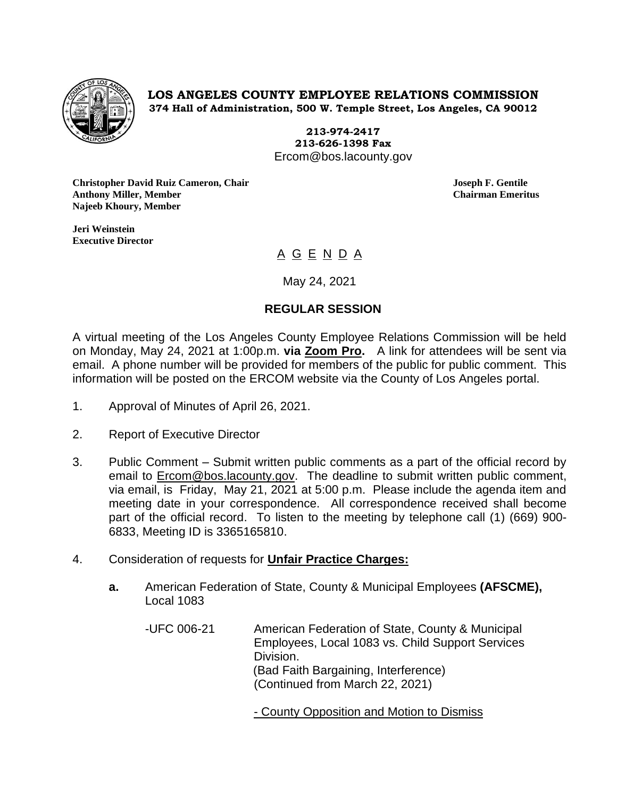

**LOS ANGELES COUNTY EMPLOYEE RELATIONS COMMISSION 374 Hall of Administration, 500 W. Temple Street, Los Angeles, CA 90012**

> **213-974-2417 213-626-1398 Fax** Ercom@bos.lacounty.gov

**Christopher David Ruiz Cameron, Chair Joseph F. Gentile Anthony Miller, Member Chairman Emeritus Najeeb Khoury, Member**

**Jeri Weinstein Executive Director** 

# <u>A G E N D A</u>

May 24, 2021

## **REGULAR SESSION**

A virtual meeting of the Los Angeles County Employee Relations Commission will be held on Monday, May 24, 2021 at 1:00p.m. **via Zoom Pro.** A link for attendees will be sent via email. A phone number will be provided for members of the public for public comment. This information will be posted on the ERCOM website via the County of Los Angeles portal.

- 1. Approval of Minutes of April 26, 2021.
- 2. Report of Executive Director
- 3. Public Comment Submit written public comments as a part of the official record by email to **Ercom@bos.lacounty.gov.** The deadline to submit written public comment, via email, is Friday, May 21, 2021 at 5:00 p.m. Please include the agenda item and meeting date in your correspondence. All correspondence received shall become part of the official record. To listen to the meeting by telephone call (1) (669) 900- 6833, Meeting ID is 3365165810.
- 4. Consideration of requests for **Unfair Practice Charges:**
	- **a.** American Federation of State, County & Municipal Employees **(AFSCME),** Local 1083
		- -UFC 006-21 American Federation of State, County & Municipal Employees, Local 1083 vs. Child Support Services Division. (Bad Faith Bargaining, Interference) (Continued from March 22, 2021)

- County Opposition and Motion to Dismiss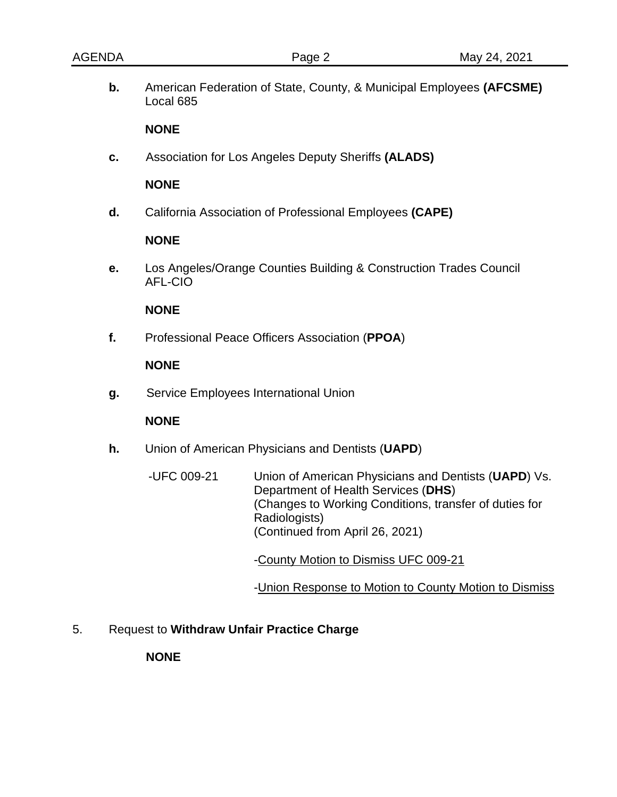**b.** American Federation of State, County, & Municipal Employees **(AFCSME)** Local 685

#### **NONE**

**c.** Association for Los Angeles Deputy Sheriffs **(ALADS)**

#### **NONE**

**d.** California Association of Professional Employees **(CAPE)**

#### **NONE**

**e.** Los Angeles/Orange Counties Building & Construction Trades Council AFL-CIO

#### **NONE**

**f.** Professional Peace Officers Association (**PPOA**)

### **NONE**

**g.** Service Employees International Union

## **NONE**

- **h.** Union of American Physicians and Dentists (**UAPD**)
	- -UFC 009-21 Union of American Physicians and Dentists (**UAPD**) Vs. Department of Health Services (**DHS**) (Changes to Working Conditions, transfer of duties for Radiologists) (Continued from April 26, 2021)

-County Motion to Dismiss UFC 009-21

-Union Response to Motion to County Motion to Dismiss

5. Request to **Withdraw Unfair Practice Charge**

#### **NONE**